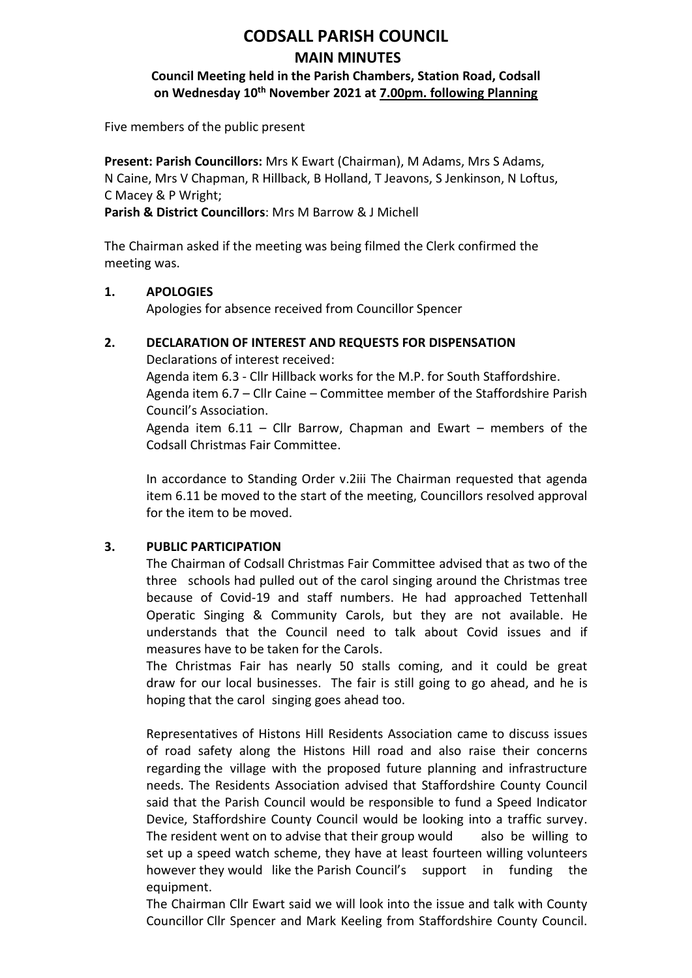# **CODSALL PARISH COUNCIL MAIN MINUTES**

## **Council Meeting held in the Parish Chambers, Station Road, Codsall on Wednesday 10th November 2021 at 7.00pm. following Planning**

Five members of the public present

**Present: Parish Councillors:** Mrs K Ewart (Chairman), M Adams, Mrs S Adams, N Caine, Mrs V Chapman, R Hillback, B Holland, T Jeavons, S Jenkinson, N Loftus, C Macey & P Wright;

**Parish & District Councillors**: Mrs M Barrow & J Michell

The Chairman asked if the meeting was being filmed the Clerk confirmed the meeting was.

### **1. APOLOGIES**

Apologies for absence received from Councillor Spencer

### **2. DECLARATION OF INTEREST AND REQUESTS FOR DISPENSATION**

Declarations of interest received:

Agenda item 6.3 - Cllr Hillback works for the M.P. for South Staffordshire. Agenda item 6.7 – Cllr Caine – Committee member of the Staffordshire Parish Council's Association.

Agenda item 6.11 – Cllr Barrow, Chapman and Ewart – members of the Codsall Christmas Fair Committee.

In accordance to Standing Order v.2iii The Chairman requested that agenda item 6.11 be moved to the start of the meeting, Councillors resolved approval for the item to be moved.

### **3. PUBLIC PARTICIPATION**

The Chairman of Codsall Christmas Fair Committee advised that as two of the three schools had pulled out of the carol singing around the Christmas tree because of Covid-19 and staff numbers. He had approached Tettenhall Operatic Singing & Community Carols, but they are not available. He understands that the Council need to talk about Covid issues and if measures have to be taken for the Carols.

The Christmas Fair has nearly 50 stalls coming, and it could be great draw for our local businesses. The fair is still going to go ahead, and he is hoping that the carol singing goes ahead too.

Representatives of Histons Hill Residents Association came to discuss issues of road safety along the Histons Hill road and also raise their concerns regarding the village with the proposed future planning and infrastructure needs. The Residents Association advised that Staffordshire County Council said that the Parish Council would be responsible to fund a Speed Indicator Device, Staffordshire County Council would be looking into a traffic survey. The resident went on to advise that their group would also be willing to set up a speed watch scheme, they have at least fourteen willing volunteers however they would like the Parish Council's support in funding the equipment.

The Chairman Cllr Ewart said we will look into the issue and talk with County Councillor Cllr Spencer and Mark Keeling from Staffordshire County Council.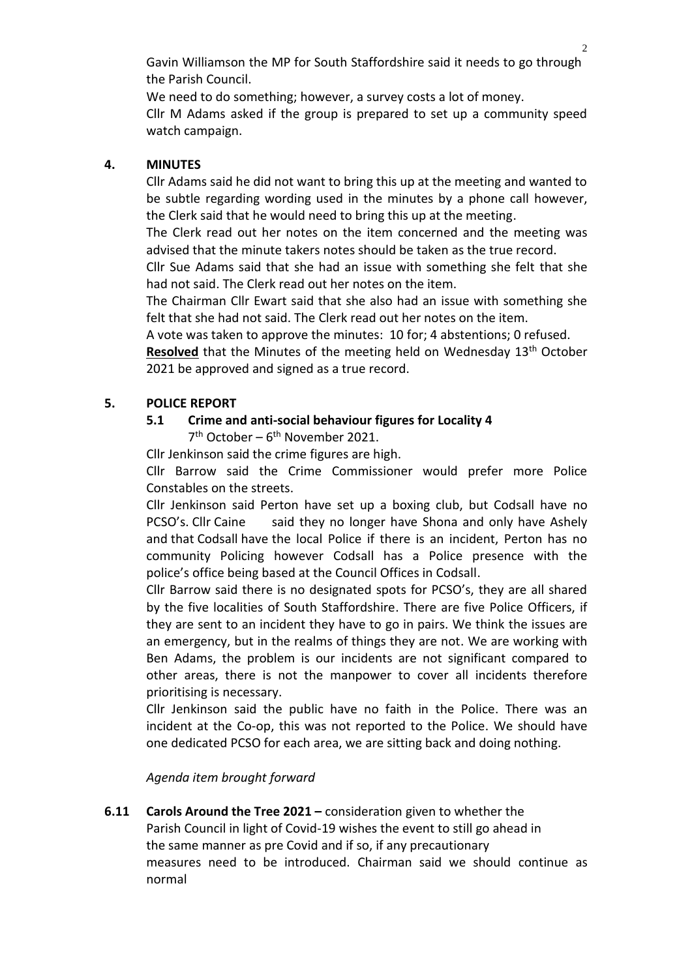Gavin Williamson the MP for South Staffordshire said it needs to go through the Parish Council.

We need to do something; however, a survey costs a lot of money. Cllr M Adams asked if the group is prepared to set up a community speed watch campaign.

### **4. MINUTES**

Cllr Adams said he did not want to bring this up at the meeting and wanted to be subtle regarding wording used in the minutes by a phone call however, the Clerk said that he would need to bring this up at the meeting.

The Clerk read out her notes on the item concerned and the meeting was advised that the minute takers notes should be taken as the true record.

Cllr Sue Adams said that she had an issue with something she felt that she had not said. The Clerk read out her notes on the item.

The Chairman Cllr Ewart said that she also had an issue with something she felt that she had not said. The Clerk read out her notes on the item.

A vote was taken to approve the minutes: 10 for; 4 abstentions; 0 refused.

Resolved that the Minutes of the meeting held on Wednesday 13<sup>th</sup> October 2021 be approved and signed as a true record.

### **5. POLICE REPORT**

#### **5.1 Crime and anti-social behaviour figures for Locality 4**

7<sup>th</sup> October – 6<sup>th</sup> November 2021.

Cllr Jenkinson said the crime figures are high.

Cllr Barrow said the Crime Commissioner would prefer more Police Constables on the streets.

Cllr Jenkinson said Perton have set up a boxing club, but Codsall have no PCSO's. Cllr Caine said they no longer have Shona and only have Ashely and that Codsall have the local Police if there is an incident, Perton has no community Policing however Codsall has a Police presence with the police's office being based at the Council Offices in Codsall.

Cllr Barrow said there is no designated spots for PCSO's, they are all shared by the five localities of South Staffordshire. There are five Police Officers, if they are sent to an incident they have to go in pairs. We think the issues are an emergency, but in the realms of things they are not. We are working with Ben Adams, the problem is our incidents are not significant compared to other areas, there is not the manpower to cover all incidents therefore prioritising is necessary.

Cllr Jenkinson said the public have no faith in the Police. There was an incident at the Co-op, this was not reported to the Police. We should have one dedicated PCSO for each area, we are sitting back and doing nothing.

#### *Agenda item brought forward*

**6.11 Carols Around the Tree 2021 –** consideration given to whether the Parish Council in light of Covid-19 wishes the event to still go ahead in the same manner as pre Covid and if so, if any precautionary measures need to be introduced. Chairman said we should continue as normal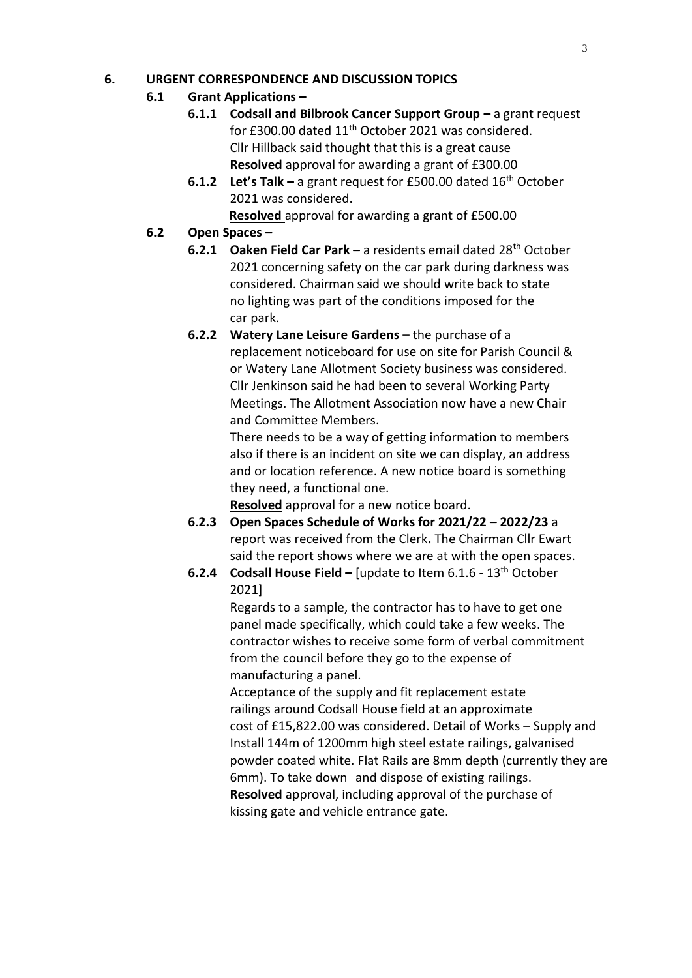### **6. URGENT CORRESPONDENCE AND DISCUSSION TOPICS**

## **6.1 Grant Applications –**

- **6.1.1 Codsall and Bilbrook Cancer Support Group a grant request** for £300.00 dated 11<sup>th</sup> October 2021 was considered. Cllr Hillback said thought that this is a great cause **Resolved** approval for awarding a grant of £300.00
- **6.1.2** Let's Talk a grant request for £500.00 dated 16<sup>th</sup> October 2021 was considered.

 **Resolved** approval for awarding a grant of £500.00

## **6.2 Open Spaces –**

- **6.2.1 Oaken Field Car Park –** a residents email dated 28th October 2021 concerning safety on the car park during darkness was considered. Chairman said we should write back to state no lighting was part of the conditions imposed for the car park.
- **6.2.2 Watery Lane Leisure Gardens** the purchase of a replacement noticeboard for use on site for Parish Council & or Watery Lane Allotment Society business was considered. Cllr Jenkinson said he had been to several Working Party Meetings. The Allotment Association now have a new Chair and Committee Members.

There needs to be a way of getting information to members also if there is an incident on site we can display, an address and or location reference. A new notice board is something they need, a functional one.

**Resolved** approval for a new notice board.

- **6**.**2.3 Open Spaces Schedule of Works for 2021/22 – 2022/23** a report was received from the Clerk**.** The Chairman Cllr Ewart said the report shows where we are at with the open spaces.
- **6.2.4 Codsall House Field –** [update to Item 6.1.6 13th October 2021]

Regards to a sample, the contractor has to have to get one panel made specifically, which could take a few weeks. The contractor wishes to receive some form of verbal commitment from the council before they go to the expense of manufacturing a panel.

Acceptance of the supply and fit replacement estate railings around Codsall House field at an approximate cost of £15,822.00 was considered. Detail of Works – Supply and Install 144m of 1200mm high steel estate railings, galvanised powder coated white. Flat Rails are 8mm depth (currently they are 6mm). To take down and dispose of existing railings. **Resolved** approval, including approval of the purchase of kissing gate and vehicle entrance gate.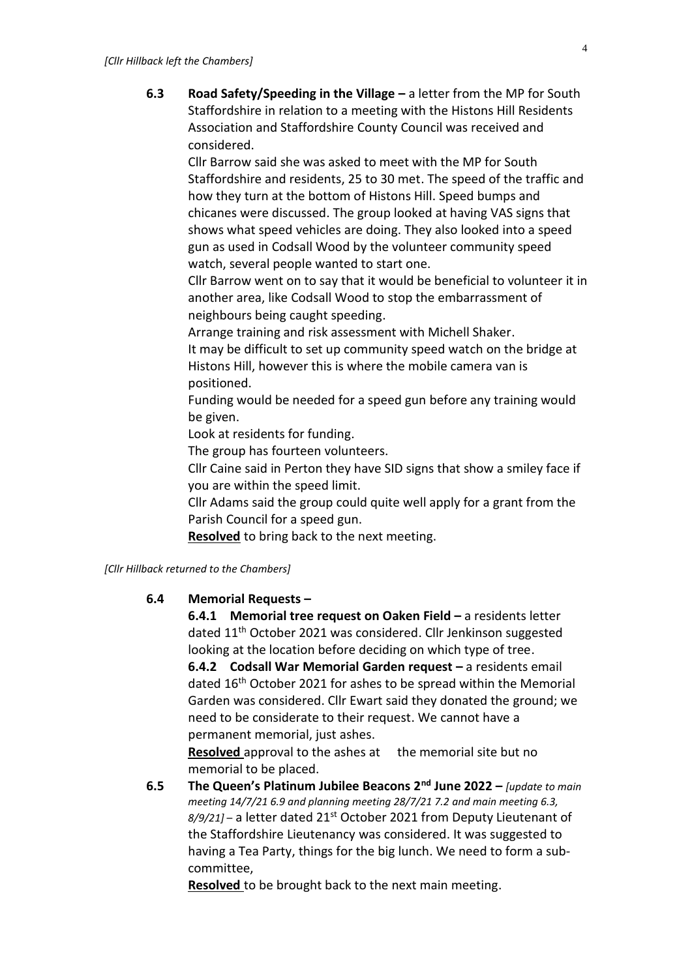**6.3 Road Safety/Speeding in the Village –** a letter from the MP for South Staffordshire in relation to a meeting with the Histons Hill Residents Association and Staffordshire County Council was received and considered.

Cllr Barrow said she was asked to meet with the MP for South Staffordshire and residents, 25 to 30 met. The speed of the traffic and how they turn at the bottom of Histons Hill. Speed bumps and chicanes were discussed. The group looked at having VAS signs that shows what speed vehicles are doing. They also looked into a speed gun as used in Codsall Wood by the volunteer community speed watch, several people wanted to start one.

Cllr Barrow went on to say that it would be beneficial to volunteer it in another area, like Codsall Wood to stop the embarrassment of neighbours being caught speeding.

Arrange training and risk assessment with Michell Shaker.

It may be difficult to set up community speed watch on the bridge at Histons Hill, however this is where the mobile camera van is positioned.

Funding would be needed for a speed gun before any training would be given.

Look at residents for funding.

The group has fourteen volunteers.

Cllr Caine said in Perton they have SID signs that show a smiley face if you are within the speed limit.

Cllr Adams said the group could quite well apply for a grant from the Parish Council for a speed gun.

**Resolved** to bring back to the next meeting.

*[Cllr Hillback returned to the Chambers]*

#### **6.4 Memorial Requests –**

**6.4.1 Memorial tree request on Oaken Field –** a residents letter dated 11<sup>th</sup> October 2021 was considered. Cllr Jenkinson suggested looking at the location before deciding on which type of tree.

**6.4.2 Codsall War Memorial Garden request – a residents email** dated 16th October 2021 for ashes to be spread within the Memorial Garden was considered. Cllr Ewart said they donated the ground; we need to be considerate to their request. We cannot have a permanent memorial, just ashes.

**Resolved** approval to the ashes at the memorial site but no memorial to be placed.

**6.5 The Queen's Platinum Jubilee Beacons 2nd June 2022 –** *[update to main meeting 14/7/21 6.9 and planning meeting 28/7/21 7.2 and main meeting 6.3, 8/9/21]* – a letter dated 21st October 2021 from Deputy Lieutenant of the Staffordshire Lieutenancy was considered. It was suggested to having a Tea Party, things for the big lunch. We need to form a subcommittee,

**Resolved** to be brought back to the next main meeting.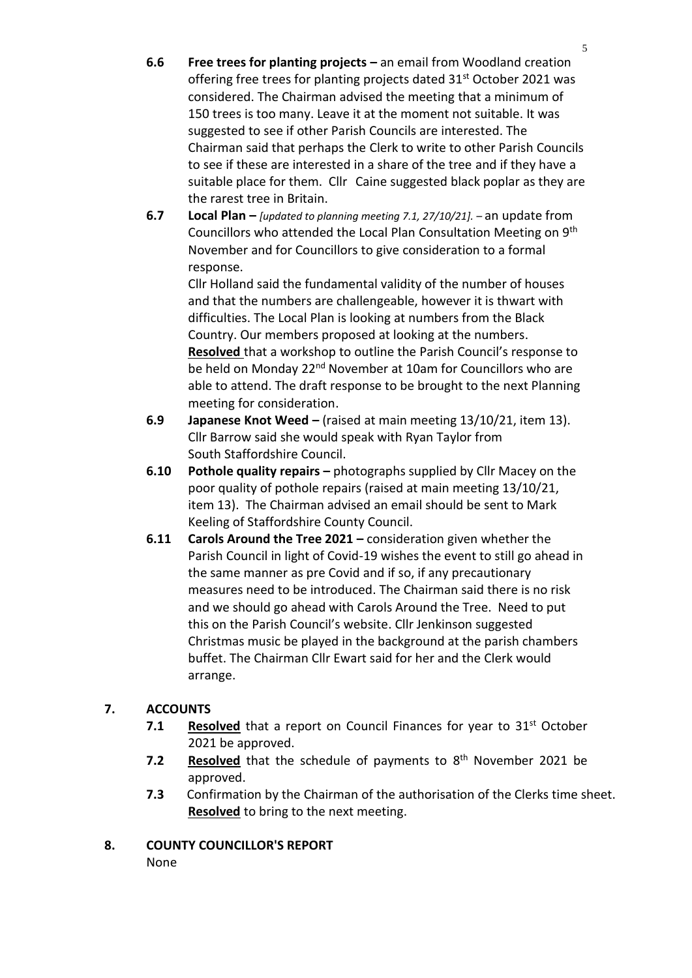- **6.6 Free trees for planting projects –** an email from Woodland creation offering free trees for planting projects dated 31<sup>st</sup> October 2021 was considered. The Chairman advised the meeting that a minimum of 150 trees is too many. Leave it at the moment not suitable. It was suggested to see if other Parish Councils are interested. The Chairman said that perhaps the Clerk to write to other Parish Councils to see if these are interested in a share of the tree and if they have a suitable place for them. Cllr Caine suggested black poplar as they are the rarest tree in Britain.
- **6.7 Local Plan –** *[updated to planning meeting 7.1, 27/10/21]. –* an update from Councillors who attended the Local Plan Consultation Meeting on 9th November and for Councillors to give consideration to a formal response.

Cllr Holland said the fundamental validity of the number of houses and that the numbers are challengeable, however it is thwart with difficulties. The Local Plan is looking at numbers from the Black Country. Our members proposed at looking at the numbers. **Resolved** that a workshop to outline the Parish Council's response to be held on Monday 22<sup>nd</sup> November at 10am for Councillors who are able to attend. The draft response to be brought to the next Planning meeting for consideration.

- **6.9 Japanese Knot Weed –** (raised at main meeting 13/10/21, item 13). Cllr Barrow said she would speak with Ryan Taylor from South Staffordshire Council.
- **6.10 Pothole quality repairs –** photographs supplied by Cllr Macey on the poor quality of pothole repairs (raised at main meeting 13/10/21, item 13). The Chairman advised an email should be sent to Mark Keeling of Staffordshire County Council.
- **6.11 Carols Around the Tree 2021 –** consideration given whether the Parish Council in light of Covid-19 wishes the event to still go ahead in the same manner as pre Covid and if so, if any precautionary measures need to be introduced. The Chairman said there is no risk and we should go ahead with Carols Around the Tree. Need to put this on the Parish Council's website. Cllr Jenkinson suggested Christmas music be played in the background at the parish chambers buffet. The Chairman Cllr Ewart said for her and the Clerk would arrange.

## **7. ACCOUNTS**

- **7.1 Resolved** that a report on Council Finances for year to 31<sup>st</sup> October 2021 be approved.
- 7.2 Resolved that the schedule of payments to 8<sup>th</sup> November 2021 be approved.
- **7.3** Confirmation by the Chairman of the authorisation of the Clerks time sheet. **Resolved** to bring to the next meeting.
- **8. COUNTY COUNCILLOR'S REPORT** None